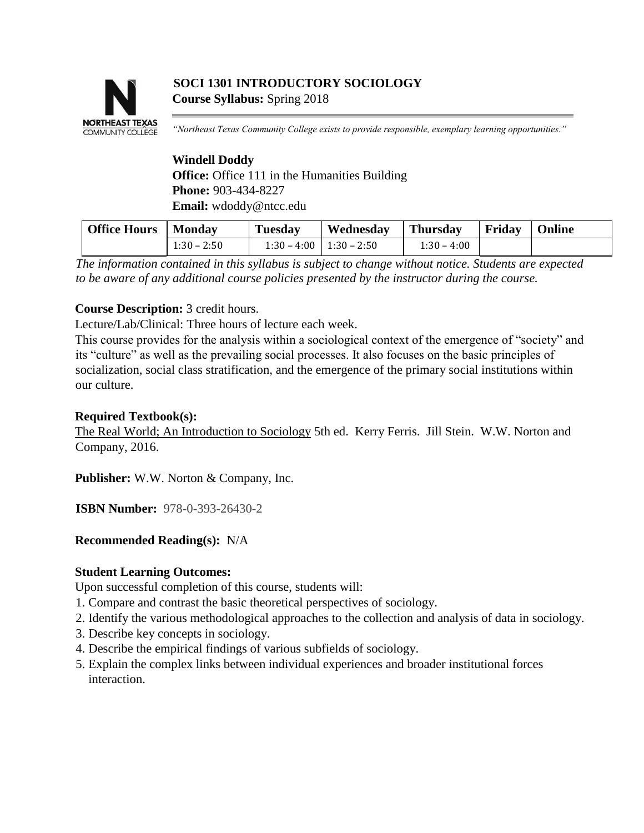# **COMMUNITY COLLEGE**

# **SOCI 1301 INTRODUCTORY SOCIOLOGY Course Syllabus:** Spring 2018

*"Northeast Texas Community College exists to provide responsible, exemplary learning opportunities."* 

# **Windell Doddy Office:** Office 111 in the Humanities Building **Phone:** 903-434-8227 **Email:** wdoddy@ntcc.edu

| <b>Office Hours</b> | Monday        | <b>Tuesday</b> | Wednesday                     | Thursday      | Friday | <b>Online</b> |
|---------------------|---------------|----------------|-------------------------------|---------------|--------|---------------|
|                     | $1:30 - 2:50$ |                | $1:30 - 4:00$   $1:30 - 2:50$ | $1:30 - 4:00$ |        |               |

*The information contained in this syllabus is subject to change without notice. Students are expected to be aware of any additional course policies presented by the instructor during the course.* 

# **Course Description:** 3 credit hours.

Lecture/Lab/Clinical: Three hours of lecture each week.

This course provides for the analysis within a sociological context of the emergence of "society" and its "culture" as well as the prevailing social processes. It also focuses on the basic principles of socialization, social class stratification, and the emergence of the primary social institutions within our culture.

#### **Required Textbook(s):**

The Real World; An Introduction to Sociology 5th ed. Kerry Ferris. Jill Stein. W.W. Norton and Company, 2016.

**Publisher:** W.W. Norton & Company, Inc.

**ISBN Number:** 978-0-393-26430-2

# **Recommended Reading(s):** N/A

# **Student Learning Outcomes:**

Upon successful completion of this course, students will:

- 1. Compare and contrast the basic theoretical perspectives of sociology.
- 2. Identify the various methodological approaches to the collection and analysis of data in sociology.
- 3. Describe key concepts in sociology.
- 4. Describe the empirical findings of various subfields of sociology.
- 5. Explain the complex links between individual experiences and broader institutional forces interaction.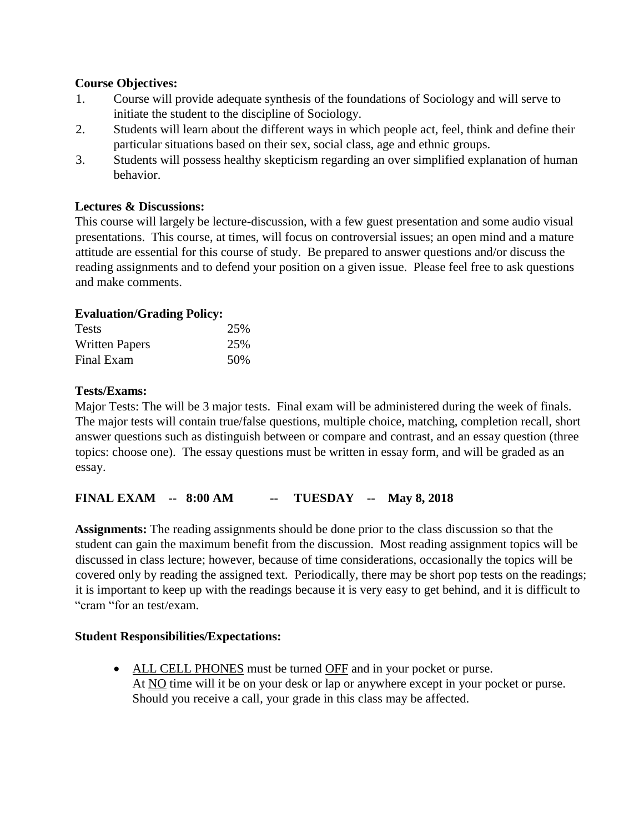# **Course Objectives:**

- 1. Course will provide adequate synthesis of the foundations of Sociology and will serve to initiate the student to the discipline of Sociology.
- 2. Students will learn about the different ways in which people act, feel, think and define their particular situations based on their sex, social class, age and ethnic groups.
- 3. Students will possess healthy skepticism regarding an over simplified explanation of human behavior.

# **Lectures & Discussions:**

This course will largely be lecture-discussion, with a few guest presentation and some audio visual presentations. This course, at times, will focus on controversial issues; an open mind and a mature attitude are essential for this course of study. Be prepared to answer questions and/or discuss the reading assignments and to defend your position on a given issue. Please feel free to ask questions and make comments.

# **Evaluation/Grading Policy:**

| <b>Tests</b>          | 25% |
|-----------------------|-----|
| <b>Written Papers</b> | 25% |
| Final Exam            | 50% |

# **Tests/Exams:**

Major Tests: The will be 3 major tests. Final exam will be administered during the week of finals. The major tests will contain true/false questions, multiple choice, matching, completion recall, short answer questions such as distinguish between or compare and contrast, and an essay question (three topics: choose one). The essay questions must be written in essay form, and will be graded as an essay.

# **FINAL EXAM -- 8:00 AM -- TUESDAY -- May 8, 2018**

**Assignments:** The reading assignments should be done prior to the class discussion so that the student can gain the maximum benefit from the discussion. Most reading assignment topics will be discussed in class lecture; however, because of time considerations, occasionally the topics will be covered only by reading the assigned text. Periodically, there may be short pop tests on the readings; it is important to keep up with the readings because it is very easy to get behind, and it is difficult to "cram "for an test/exam.

# **Student Responsibilities/Expectations:**

 ALL CELL PHONES must be turned OFF and in your pocket or purse. At NO time will it be on your desk or lap or anywhere except in your pocket or purse. Should you receive a call, your grade in this class may be affected.